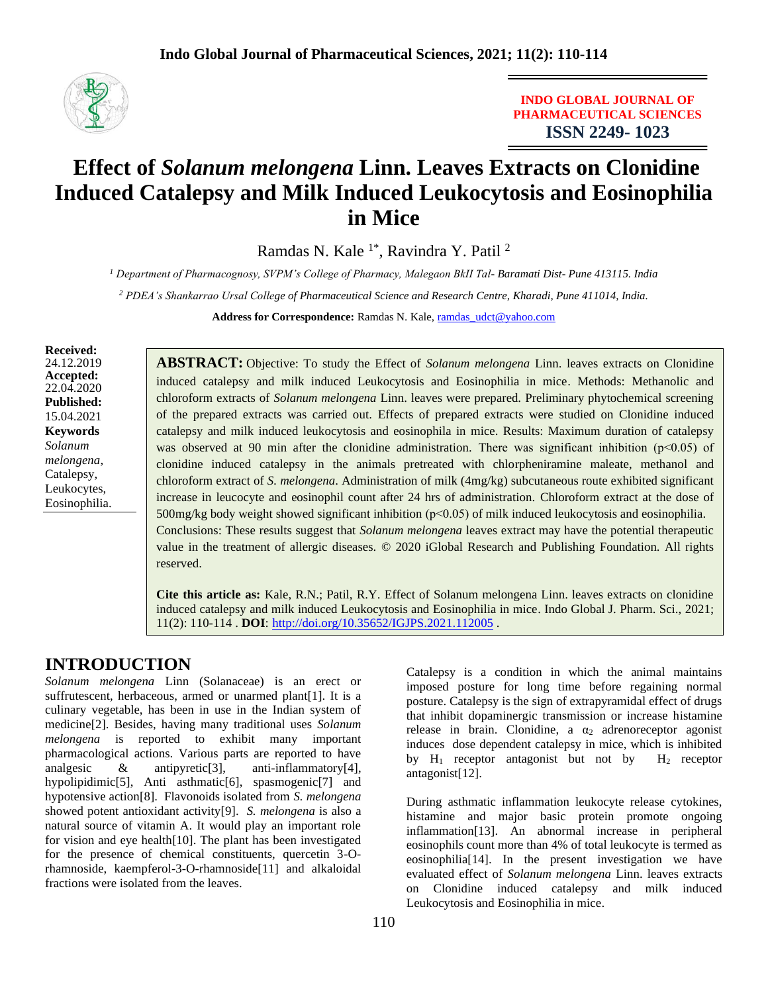

**INDO GLOBAL JOURNAL OF PHARMACEUTICAL SCIENCES ISSN 2249- 1023**

# **Effect of** *Solanum melongena* **Linn. Leaves Extracts on Clonidine Induced Catalepsy and Milk Induced Leukocytosis and Eosinophilia in Mice**

Ramdas N. Kale 1\*, Ravindra Y. Patil <sup>2</sup>

*<sup>1</sup> Department of Pharmacognosy, SVPM's College of Pharmacy, Malegaon BkII Tal- Baramati Dist- Pune 413115. India*

*<sup>2</sup> PDEA's Shankarrao Ursal College of Pharmaceutical Science and Research Centre, Kharadi, Pune 411014, India.*

Address for Correspondence: Ramdas N. Kale, [ramdas\\_udct@yahoo.com](mailto:ramdas_udct@yahoo.com)

**Received:** 24.12.2019 **Accepted:**  22.04.2020 **Published:** 15.04.2021 **Keywords** *Solanum melongena*, Catalepsy, Leukocytes, Eosinophilia.

**ABSTRACT:** Objective: To study the Effect of *Solanum melongena* Linn. leaves extracts on Clonidine induced catalepsy and milk induced Leukocytosis and Eosinophilia in mice. Methods: Methanolic and chloroform extracts of *Solanum melongena* Linn. leaves were prepared. Preliminary phytochemical screening of the prepared extracts was carried out. Effects of prepared extracts were studied on Clonidine induced catalepsy and milk induced leukocytosis and eosinophila in mice. Results: Maximum duration of catalepsy was observed at 90 min after the clonidine administration. There was significant inhibition (p<0.05) of clonidine induced catalepsy in the animals pretreated with chlorpheniramine maleate, methanol and chloroform extract of *S. melongena*. Administration of milk (4mg/kg) subcutaneous route exhibited significant increase in leucocyte and eosinophil count after 24 hrs of administration. Chloroform extract at the dose of  $500$ mg/kg body weight showed significant inhibition ( $p<0.05$ ) of milk induced leukocytosis and eosinophilia. Conclusions: These results suggest that *Solanum melongena* leaves extract may have the potential therapeutic value in the treatment of allergic diseases. © 2020 iGlobal Research and Publishing Foundation. All rights reserved.

**Cite this article as:** Kale, R.N.; Patil, R.Y. Effect of Solanum melongena Linn. leaves extracts on clonidine induced catalepsy and milk induced Leukocytosis and Eosinophilia in mice. Indo Global J. Pharm. Sci., 2021; 11(2): 110-114 . **DOI**: <http://doi.org/10.35652/IGJPS.2021.112005> .

## **INTRODUCTION**

*Solanum melongena* Linn (Solanaceae) is an erect or suffrutescent, herbaceous, armed or unarmed plant[1]. It is a culinary vegetable, has been in use in the Indian system of medicine[2]. Besides, having many traditional uses *Solanum melongena* is reported to exhibit many important pharmacological actions. Various parts are reported to have analgesic & antipyretic[3], anti-inflammatory[4], hypolipidimic[5], Anti asthmatic[6], spasmogenic[7] and hypotensive action[8]. Flavonoids isolated from *S. melongena* showed potent antioxidant activity[9]. *S. melongena* is also a natural source of vitamin A. It would play an important role for vision and eye health[10]. The plant has been investigated for the presence of chemical constituents, quercetin 3-Orhamnoside, kaempferol-3-O-rhamnoside[11] and alkaloidal fractions were isolated from the leaves.

Catalepsy is a condition in which the animal maintains imposed posture for long time before regaining normal posture. Catalepsy is the sign of extrapyramidal effect of drugs that inhibit dopaminergic transmission or increase histamine release in brain. Clonidine, a  $\alpha_2$  adrenoreceptor agonist induces dose dependent catalepsy in mice, which is inhibited by  $H_1$  receptor antagonist but not by  $H_2$  receptor antagonist[12].

During asthmatic inflammation leukocyte release cytokines, histamine and major basic protein promote ongoing inflammation[13]. An abnormal increase in peripheral eosinophils count more than 4% of total leukocyte is termed as eosinophilia[14]. In the present investigation we have evaluated effect of *Solanum melongena* Linn. leaves extracts on Clonidine induced catalepsy and milk induced Leukocytosis and Eosinophilia in mice.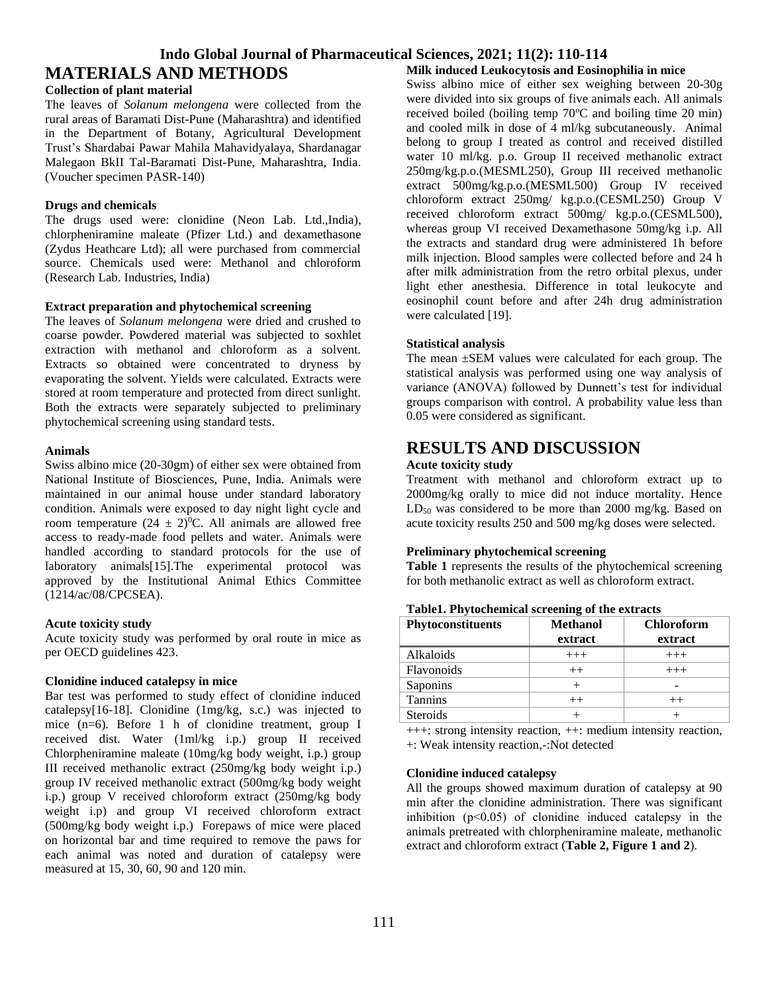### **Indo Global Journal of Pharmaceutical Sciences, 2021; 11(2): 110-114**

## **MATERIALS AND METHODS**

#### **Collection of plant material**

The leaves of *Solanum melongena* were collected from the rural areas of Baramati Dist-Pune (Maharashtra) and identified in the Department of Botany, Agricultural Development Trust's Shardabai Pawar Mahila Mahavidyalaya, Shardanagar Malegaon BkII Tal-Baramati Dist-Pune, Maharashtra, India. (Voucher specimen PASR-140)

#### **Drugs and chemicals**

The drugs used were: clonidine (Neon Lab. Ltd.,India), chlorpheniramine maleate (Pfizer Ltd.) and dexamethasone (Zydus Heathcare Ltd); all were purchased from commercial source. Chemicals used were: Methanol and chloroform (Research Lab. Industries, India)

#### **Extract preparation and phytochemical screening**

The leaves of *Solanum melongena* were dried and crushed to coarse powder. Powdered material was subjected to soxhlet extraction with methanol and chloroform as a solvent. Extracts so obtained were concentrated to dryness by evaporating the solvent. Yields were calculated. Extracts were stored at room temperature and protected from direct sunlight. Both the extracts were separately subjected to preliminary phytochemical screening using standard tests.

#### **Animals**

Swiss albino mice (20-30gm) of either sex were obtained from National Institute of Biosciences, Pune, India. Animals were maintained in our animal house under standard laboratory condition. Animals were exposed to day night light cycle and room temperature  $(24 \pm 2)^{0}C$ . All animals are allowed free access to ready-made food pellets and water. Animals were handled according to standard protocols for the use of laboratory animals[15].The experimental protocol was approved by the Institutional Animal Ethics Committee (1214/ac/08/CPCSEA).

#### **Acute toxicity study**

Acute toxicity study was performed by oral route in mice as per OECD guidelines 423.

#### **Clonidine induced catalepsy in mice**

Bar test was performed to study effect of clonidine induced catalepsy[16-18]. Clonidine (1mg/kg, s.c.) was injected to mice (n=6). Before 1 h of clonidine treatment, group I received dist. Water (1ml/kg i.p.) group II received Chlorpheniramine maleate (10mg/kg body weight, i.p.) group III received methanolic extract (250mg/kg body weight i.p.) group IV received methanolic extract (500mg/kg body weight i.p.) group V received chloroform extract (250mg/kg body weight i.p) and group VI received chloroform extract (500mg/kg body weight i.p.) Forepaws of mice were placed on horizontal bar and time required to remove the paws for each animal was noted and duration of catalepsy were measured at 15, 30, 60, 90 and 120 min.

**Milk induced Leukocytosis and Eosinophilia in mice**

Swiss albino mice of either sex weighing between 20-30g were divided into six groups of five animals each. All animals received boiled (boiling temp  $70^{\circ}$ C and boiling time 20 min) and cooled milk in dose of 4 ml/kg subcutaneously. Animal belong to group I treated as control and received distilled water 10 ml/kg. p.o. Group II received methanolic extract 250mg/kg.p.o.(MESML250), Group III received methanolic extract 500mg/kg.p.o.(MESML500) Group IV received chloroform extract 250mg/ kg.p.o.(CESML250) Group V received chloroform extract 500mg/ kg.p.o.(CESML500), whereas group VI received Dexamethasone 50mg/kg i.p. All the extracts and standard drug were administered 1h before milk injection. Blood samples were collected before and 24 h after milk administration from the retro orbital plexus, under light ether anesthesia. Difference in total leukocyte and eosinophil count before and after 24h drug administration were calculated [19].

#### **Statistical analysis**

The mean ±SEM values were calculated for each group. The statistical analysis was performed using one way analysis of variance (ANOVA) followed by Dunnett's test for individual groups comparison with control. A probability value less than 0.05 were considered as significant.

## **RESULTS AND DISCUSSION**

#### **Acute toxicity study**

Treatment with methanol and chloroform extract up to 2000mg/kg orally to mice did not induce mortality. Hence  $LD_{50}$  was considered to be more than 2000 mg/kg. Based on acute toxicity results 250 and 500 mg/kg doses were selected.

#### **Preliminary phytochemical screening**

**Table 1** represents the results of the phytochemical screening for both methanolic extract as well as chloroform extract.

| <b>Phytoconstituents</b> | <b>Methanol</b><br>extract | <b>Chloroform</b><br>extract |
|--------------------------|----------------------------|------------------------------|
| Alkaloids                | $+++$                      | $+++$                        |
| <b>Flavonoids</b>        | $++$                       | $+++$                        |
| Saponins                 |                            |                              |
| <b>Tannins</b>           | $^{++}$                    | $++$                         |
| <b>Steroids</b>          |                            |                              |

#### **Table1. Phytochemical screening of the extracts**

+++: strong intensity reaction, ++: medium intensity reaction, +: Weak intensity reaction,-:Not detected

#### **Clonidine induced catalepsy**

All the groups showed maximum duration of catalepsy at 90 min after the clonidine administration. There was significant inhibition  $(p<0.05)$  of clonidine induced catalepsy in the animals pretreated with chlorpheniramine maleate, methanolic extract and chloroform extract (**Table 2, Figure 1 and 2**).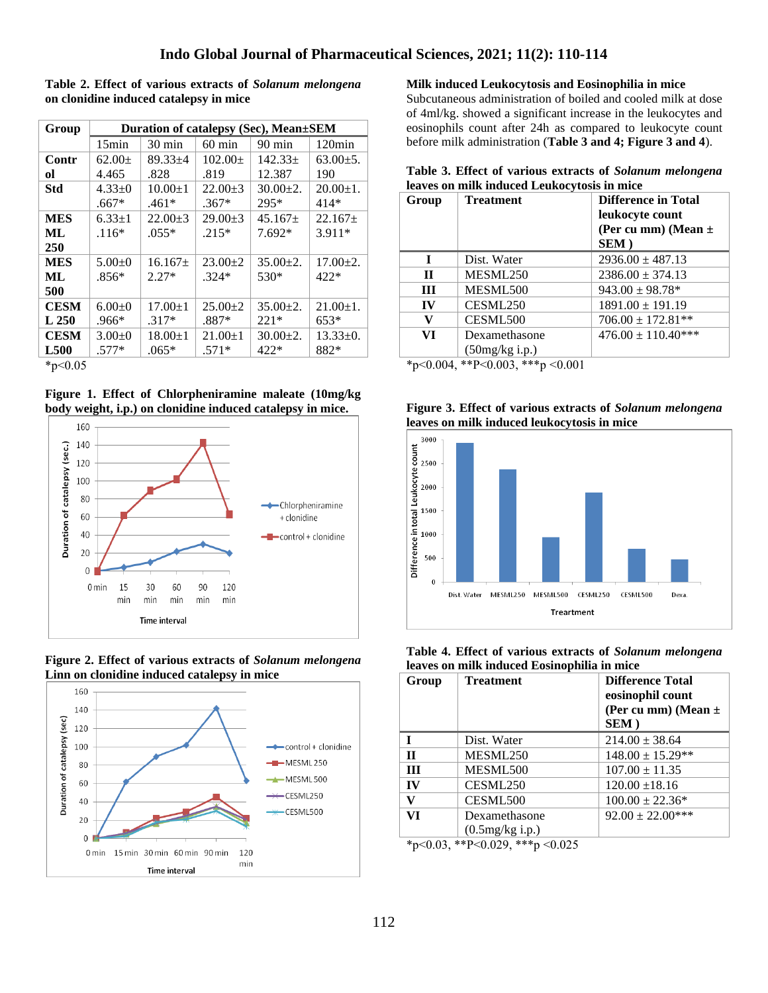**Table 2. Effect of various extracts of** *Solanum melongena* **on clonidine induced catalepsy in mice**

| Group       | Duration of catalepsy (Sec), Mean±SEM |                  |                  |                  |                 |
|-------------|---------------------------------------|------------------|------------------|------------------|-----------------|
|             | 15 <sub>min</sub>                     | $30 \text{ min}$ | $60 \text{ min}$ | $90 \text{ min}$ | $120\text{min}$ |
| Contr       | $62.00 \pm$                           | $89.33 + 4$      | $102.00+$        | $142.33 \pm$     | $63.00 \pm 5.$  |
| ol          | 4.465                                 | .828             | .819             | 12.387           | 190             |
| <b>Std</b>  | $4.33+0$                              | $10.00 \pm 1$    | $22.00+3$        | $30.00+2.$       | $20.00 \pm 1.$  |
|             | $.667*$                               | $.461*$          | $.367*$          | 295*             | 414*            |
| <b>MES</b>  | $6.33 \pm 1$                          | $22.00 \pm 3$    | $29.00 \pm 3$    | $45.167+$        | $22.167+$       |
| ML          | $.116*$                               | $.055*$          | $.215*$          | 7.692*           | $3.911*$        |
| 250         |                                       |                  |                  |                  |                 |
| <b>MES</b>  | $5.00+0$                              | $16.167+$        | $23.00 \pm 2$    | $35.00 \pm 2.$   | $17.00 \pm 2.$  |
| ML          | $.856*$                               | $2.27*$          | $.324*$          | 530*             | $422*$          |
| 500         |                                       |                  |                  |                  |                 |
| <b>CESM</b> | $6.00+0$                              | $17.00 \pm 1$    | $25.00 \pm 2$    | $35.00 \pm 2.$   | $21.00 \pm 1.$  |
| L250        | $.966*$                               | $.317*$          | $.887*$          | $221*$           | $653*$          |
| <b>CESM</b> | $3.00 \pm 0$                          | $18.00 \pm 1$    | $21.00 \pm 1$    | $30.00 \pm 2.$   | $13.33 \pm 0.$  |
| <b>L500</b> | $.577*$                               | $.065*$          | $.571*$          | $422*$           | 882*            |

\*p˂0.05

**Figure 1. Effect of Chlorpheniramine maleate (10mg/kg body weight, i.p.) on clonidine induced catalepsy in mice.**







**Milk induced Leukocytosis and Eosinophilia in mice**

Subcutaneous administration of boiled and cooled milk at dose of 4ml/kg. showed a significant increase in the leukocytes and eosinophils count after 24h as compared to leukocyte count before milk administration (**Table 3 and 4; Figure 3 and 4**).

| Table 3. Effect of various extracts of Solanum melongena |  |
|----------------------------------------------------------|--|
| leaves on milk induced Leukocytosis in mice              |  |

| <b>Treatment</b> | <b>Difference in Total</b><br>leukocyte count<br>(Per cu mm) (Mean $\pm$<br>SEM) |
|------------------|----------------------------------------------------------------------------------|
| Dist. Water      | $2936.00 \pm 487.13$                                                             |
| MESML250         | $2386.00 \pm 374.13$                                                             |
| MESML500         | $943.00 \pm 98.78$ <sup>*</sup>                                                  |
| CESML250         | $1891.00 \pm 191.19$                                                             |
| CESML500         | $706.00 \pm 172.81**$                                                            |
| Dexamethasone    | $476.00 \pm 110.40***$                                                           |
|                  | $(50mg/kg$ i.p.)                                                                 |

\*p˂0.004, \*\*P˂0.003, \*\*\*p ˂0.001

| Figure 3. Effect of various extracts of Solanum melongena |  |  |
|-----------------------------------------------------------|--|--|
| leaves on milk induced leukocytosis in mice               |  |  |



**Table 4. Effect of various extracts of** *Solanum melongena*  **leaves on milk induced Eosinophilia in mice**

| Group                     | <b>Treatment</b>                                                                                                                                                                                                                                                                                                                                               | <b>Difference Total</b><br>eosinophil count<br>(Per cu mm) (Mean $\pm$<br>SEM) |
|---------------------------|----------------------------------------------------------------------------------------------------------------------------------------------------------------------------------------------------------------------------------------------------------------------------------------------------------------------------------------------------------------|--------------------------------------------------------------------------------|
| T                         | Dist. Water                                                                                                                                                                                                                                                                                                                                                    | $214.00 \pm 38.64$                                                             |
| $\mathbf{H}$              | MESML250                                                                                                                                                                                                                                                                                                                                                       | $148.00 \pm 15.29**$                                                           |
| III                       | MESML500                                                                                                                                                                                                                                                                                                                                                       | $107.00 \pm 11.35$                                                             |
| IV                        | CESML250                                                                                                                                                                                                                                                                                                                                                       | $120.00 \pm 18.16$                                                             |
| V                         | CESML500                                                                                                                                                                                                                                                                                                                                                       | $100.00 \pm 22.36*$                                                            |
| VI                        | Dexamethasone                                                                                                                                                                                                                                                                                                                                                  | $92.00 \pm 22.00$ ***                                                          |
| $\mathbf{a}$ $\mathbf{a}$ | $(0.5mg/kg$ i.p.)<br>$\mathbf{u}$ , $\mathbf{v}$ , $\mathbf{v}$ , $\mathbf{v}$ , $\mathbf{v}$ , $\mathbf{v}$ , $\mathbf{v}$ , $\mathbf{v}$ , $\mathbf{v}$ , $\mathbf{v}$ , $\mathbf{v}$ , $\mathbf{v}$ , $\mathbf{v}$ , $\mathbf{v}$ , $\mathbf{v}$ , $\mathbf{v}$ , $\mathbf{v}$ , $\mathbf{v}$ , $\mathbf{v}$ , $\mathbf{v}$ , $\mathbf{v}$ , $\mathbf{v}$ , |                                                                                |

\*p˂0.03, \*\*P˂0.029, \*\*\*p ˂0.025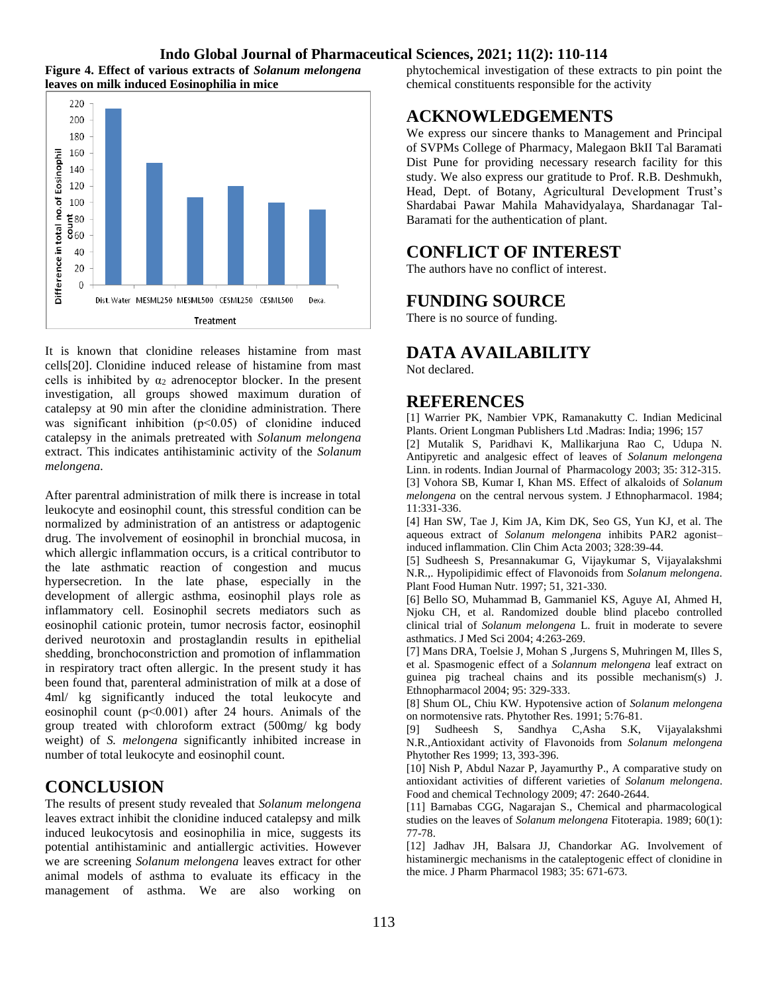### **Indo Global Journal of Pharmaceutical Sciences, 2021; 11(2): 110-114**





It is known that clonidine releases histamine from mast cells[20]. Clonidine induced release of histamine from mast cells is inhibited by  $\alpha_2$  adrenoceptor blocker. In the present investigation, all groups showed maximum duration of catalepsy at 90 min after the clonidine administration. There was significant inhibition (p<0.05) of clonidine induced catalepsy in the animals pretreated with *Solanum melongena* extract. This indicates antihistaminic activity of the *Solanum melongena.*

After parentral administration of milk there is increase in total leukocyte and eosinophil count, this stressful condition can be normalized by administration of an antistress or adaptogenic drug. The involvement of eosinophil in bronchial mucosa, in which allergic inflammation occurs, is a critical contributor to the late asthmatic reaction of congestion and mucus hypersecretion. In the late phase, especially in the development of allergic asthma, eosinophil plays role as inflammatory cell. Eosinophil secrets mediators such as eosinophil cationic protein, tumor necrosis factor, eosinophil derived neurotoxin and prostaglandin results in epithelial shedding, bronchoconstriction and promotion of inflammation in respiratory tract often allergic. In the present study it has been found that, parenteral administration of milk at a dose of 4ml/ kg significantly induced the total leukocyte and eosinophil count (p˂0.001) after 24 hours. Animals of the group treated with chloroform extract (500mg/ kg body weight) of *S. melongena* significantly inhibited increase in number of total leukocyte and eosinophil count.

## **CONCLUSION**

The results of present study revealed that *Solanum melongena* leaves extract inhibit the clonidine induced catalepsy and milk induced leukocytosis and eosinophilia in mice, suggests its potential antihistaminic and antiallergic activities. However we are screening *Solanum melongena* leaves extract for other animal models of asthma to evaluate its efficacy in the management of asthma. We are also working on phytochemical investigation of these extracts to pin point the chemical constituents responsible for the activity

## **ACKNOWLEDGEMENTS**

We express our sincere thanks to Management and Principal of SVPMs College of Pharmacy, Malegaon BkII Tal Baramati Dist Pune for providing necessary research facility for this study. We also express our gratitude to Prof. R.B. Deshmukh, Head, Dept. of Botany, Agricultural Development Trust's Shardabai Pawar Mahila Mahavidyalaya, Shardanagar Tal-Baramati for the authentication of plant.

### **CONFLICT OF INTEREST**

The authors have no conflict of interest.

## **FUNDING SOURCE**

There is no source of funding.

## **DATA AVAILABILITY**

Not declared.

### **REFERENCES**

[1] Warrier PK, Nambier VPK, Ramanakutty C. Indian Medicinal Plants. Orient Longman Publishers Ltd .Madras: India; 1996; 157

[2] Mutalik S, Paridhavi K, Mallikarjuna Rao C, Udupa N. Antipyretic and analgesic effect of leaves of *Solanum melongena* Linn. in rodents. Indian Journal of Pharmacology 2003; 35: 312-315. [3] Vohora SB, Kumar I, Khan MS. Effect of alkaloids of *Solanum melongena* on the central nervous system. J Ethnopharmacol. 1984; 11:331‑336.

[4] Han SW, Tae J, Kim JA, Kim DK, Seo GS, Yun KJ, et al. The aqueous extract of *Solanum melongena* inhibits PAR2 agonist– induced inflammation. Clin Chim Acta 2003; 328:39‑44.

[5] Sudheesh S, Presannakumar G, Vijaykumar S, Vijayalakshmi N.R.,. Hypolipidimic effect of Flavonoids from *Solanum melongena.*  Plant Food Human Nutr. 1997; 51, 321-330.

[6] Bello SO, Muhammad B, Gammaniel KS, Aguye AI, Ahmed H, Njoku CH, et al. Randomized double blind placebo controlled clinical trial of *Solanum melongena* L. fruit in moderate to severe asthmatics. J Med Sci 2004; 4:263‑269.

[7] Mans DRA, Toelsie J, Mohan S ,Jurgens S, Muhringen M, Illes S, et al. Spasmogenic effect of a *Solannum melongena* leaf extract on guinea pig tracheal chains and its possible mechanism(s) J. Ethnopharmacol 2004; 95: 329-333.

[8] Shum OL, Chiu KW. Hypotensive action of *Solanum melongena*  on normotensive rats. Phytother Res. 1991; 5:76‑81.

[9] Sudheesh S, Sandhya C,Asha S.K, Vijayalakshmi N.R.,Antioxidant activity of Flavonoids from *Solanum melongena* Phytother Res 1999; 13, 393-396.

[10] Nish P, Abdul Nazar P, Jayamurthy P., A comparative study on antioxidant activities of different varieties of *Solanum melongena*. Food and chemical Technology 2009; 47: 2640-2644.

[11] Barnabas CGG, Nagarajan S., Chemical and pharmacological studies on the leaves of *Solanum melongena* Fitoterapia. 1989; 60(1): 77-78.

[12] Jadhav JH, Balsara JJ, Chandorkar AG. Involvement of histaminergic mechanisms in the cataleptogenic effect of clonidine in the mice. J Pharm Pharmacol 1983; 35: 671-673.